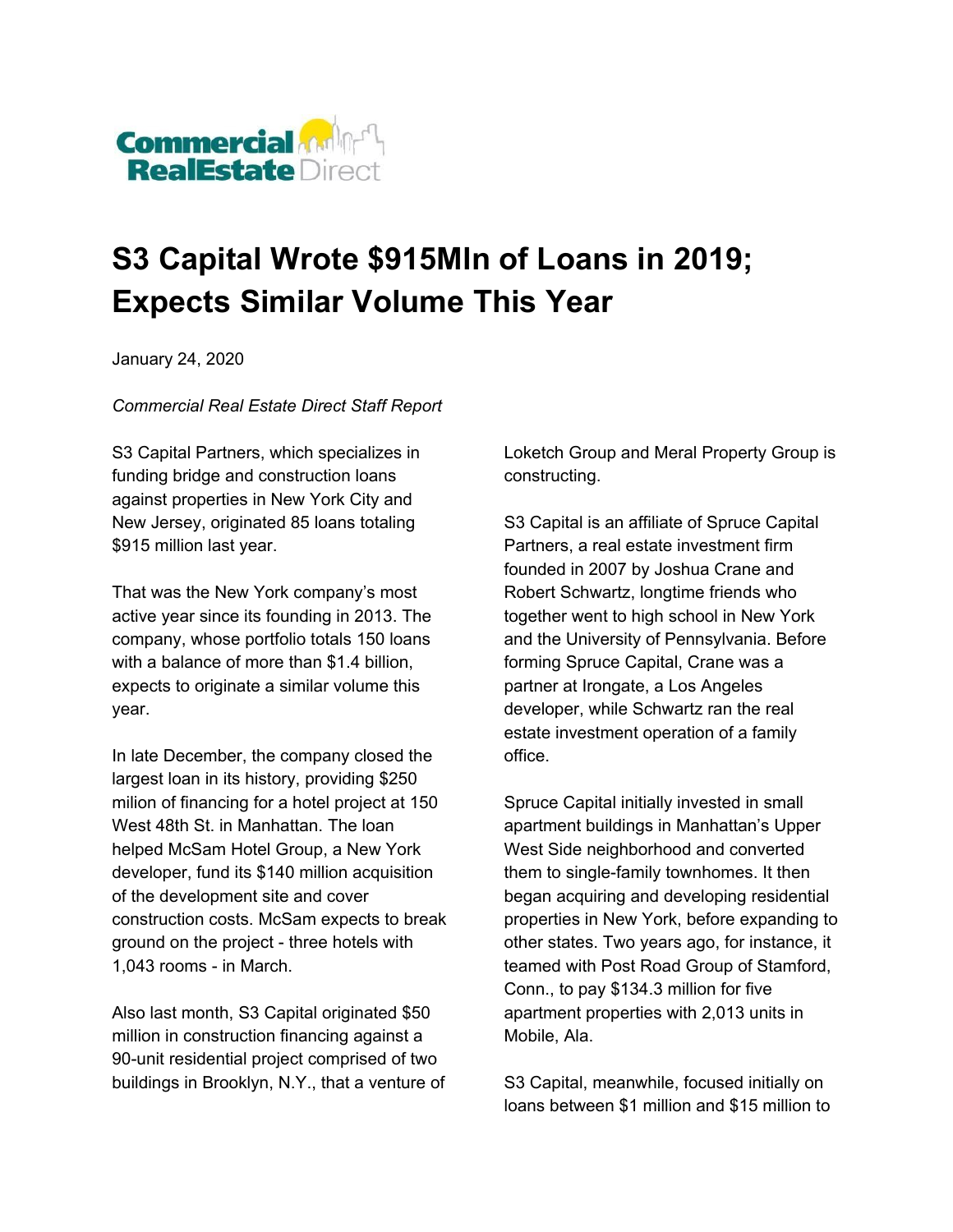

## **S3 Capital Wrote \$915Mln of Loans in 2019; Expects Similar Volume This Year**

January 24, 2020

*Commercial Real Estate Direct Staff Report*

S3 Capital Partners, which specializes in funding bridge and construction loans against properties in New York City and New Jersey, originated 85 loans totaling \$915 million last year.

That was the New York company's most active year since its founding in 2013. The company, whose portfolio totals 150 loans with a balance of more than \$1.4 billion. expects to originate a similar volume this year.

In late December, the company closed the largest loan in its history, providing \$250 milion of financing for a hotel project at 150 West 48th St. in Manhattan. The loan helped McSam Hotel Group, a New York developer, fund its \$140 million acquisition of the development site and cover construction costs. McSam expects to break ground on the project - three hotels with 1,043 rooms - in March.

Also last month, S3 Capital originated \$50 million in construction financing against a 90-unit residential project comprised of two buildings in Brooklyn, N.Y., that a venture of Loketch Group and Meral Property Group is constructing.

S3 Capital is an affiliate of Spruce Capital Partners, a real estate investment firm founded in 2007 by Joshua Crane and Robert Schwartz, longtime friends who together went to high school in New York and the University of Pennsylvania. Before forming Spruce Capital, Crane was a partner at Irongate, a Los Angeles developer, while Schwartz ran the real estate investment operation of a family office.

Spruce Capital initially invested in small apartment buildings in Manhattan's Upper West Side neighborhood and converted them to single-family townhomes. It then began acquiring and developing residential properties in New York, before expanding to other states. Two years ago, for instance, it teamed with Post Road Group of Stamford, Conn., to pay \$134.3 million for five apartment properties with 2,013 units in Mobile, Ala.

S3 Capital, meanwhile, focused initially on loans between \$1 million and \$15 million to